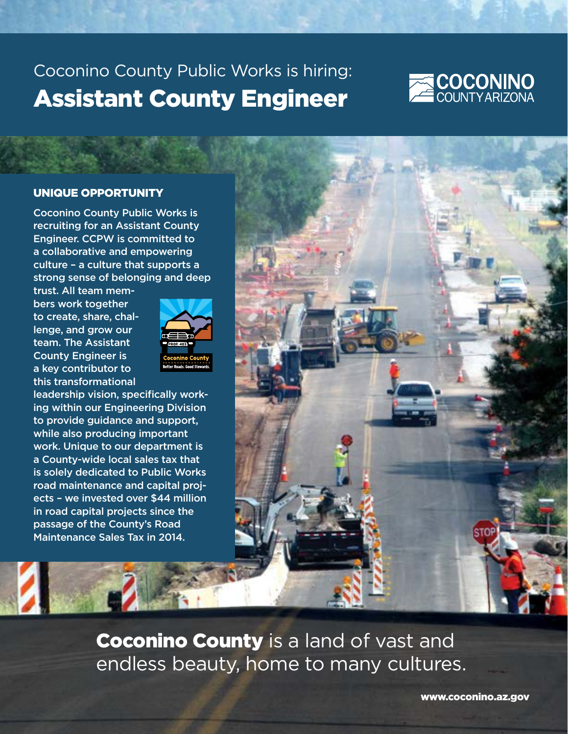## Coconino County Public Works is hiring: Assistant County Engineer



## UNIQUE OPPORTUNITY

Coconino County Public Works is recruiting for an Assistant County Engineer. CCPW is committed to a collaborative and empowering culture – a culture that supports a strong sense of belonging and deep

trust. All team members work together to create, share, challenge, and grow our team. The Assistant County Engineer is a key contributor to this transformational



leadership vision, specifically working within our Engineering Division to provide guidance and support, while also producing important work. Unique to our department is a County-wide local sales tax that is solely dedicated to Public Works road maintenance and capital projects – we invested over \$44 million in road capital projects since the passage of the County's Road Maintenance Sales Tax in 2014.



**Coconino County** is a land of vast and endless beauty, home to many cultures.

www.coconino.az.gov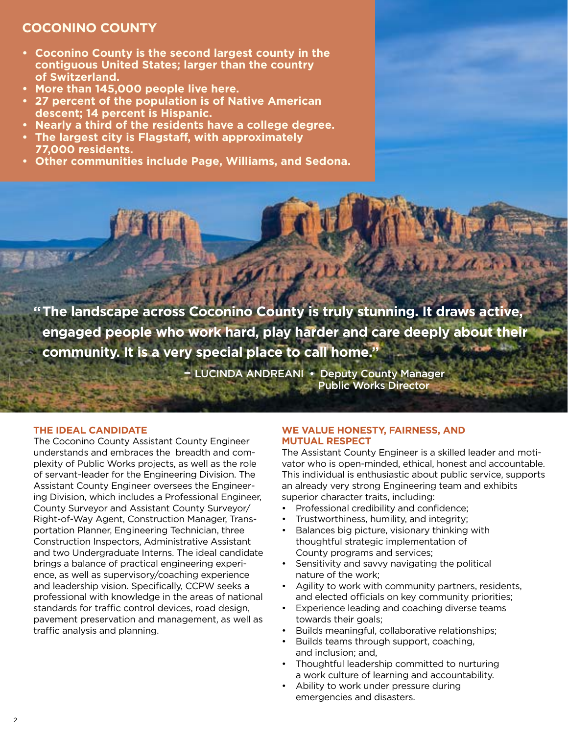## **COCONINO COUNTY**

- **• Coconino County is the second largest county in the contiguous United States; larger than the country of Switzerland.**
- **• More than 145,000 people live here.**
- **• 27 percent of the population is of Native American descent; 14 percent is Hispanic.**
- **• Nearly a third of the residents have a college degree.**
- **• The largest city is Flagstaff, with approximately 77,000 residents.**
- **• Other communities include Page, Williams, and Sedona.**

**The landscape across Coconino County is truly stunning. It draws active, " engaged people who work hard, play harder and care deeply about their community. It is a very special place to call home."**

**COM** 

 – LUCINDA ANDREANI • Deputy County Manager Public Works Director

## **THE IDEAL CANDIDATE**

The Coconino County Assistant County Engineer understands and embraces the breadth and complexity of Public Works projects, as well as the role of servant-leader for the Engineering Division. The Assistant County Engineer oversees the Engineering Division, which includes a Professional Engineer, County Surveyor and Assistant County Surveyor/ Right-of-Way Agent, Construction Manager, Transportation Planner, Engineering Technician, three Construction Inspectors, Administrative Assistant and two Undergraduate Interns. The ideal candidate brings a balance of practical engineering experience, as well as supervisory/coaching experience and leadership vision. Specifically, CCPW seeks a professional with knowledge in the areas of national standards for traffic control devices, road design, pavement preservation and management, as well as traffic analysis and planning.

## **WE VALUE HONESTY, FAIRNESS, AND MUTUAL RESPECT**

The Assistant County Engineer is a skilled leader and motivator who is open-minded, ethical, honest and accountable. This individual is enthusiastic about public service, supports an already very strong Engineering team and exhibits superior character traits, including:

- Professional credibility and confidence;
- Trustworthiness, humility, and integrity;
- Balances big picture, visionary thinking with thoughtful strategic implementation of County programs and services;
- Sensitivity and savvy navigating the political nature of the work;
- Agility to work with community partners, residents, and elected officials on key community priorities;
- Experience leading and coaching diverse teams towards their goals;
- Builds meaningful, collaborative relationships;
- Builds teams through support, coaching, and inclusion; and,
- Thoughtful leadership committed to nurturing a work culture of learning and accountability.
- Ability to work under pressure during emergencies and disasters.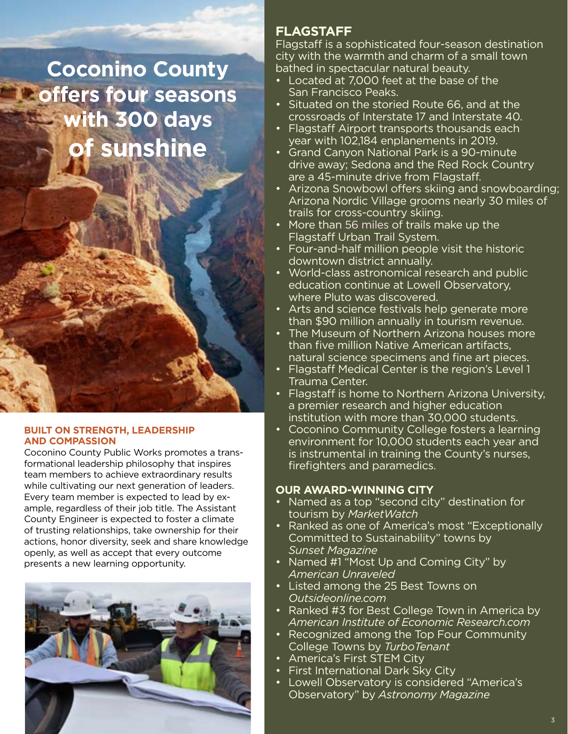# **Coconino County offers four seasons with 300 days of sunshine**

## **BUILT ON STRENGTH, LEADERSHIP AND COMPASSION**

Coconino County Public Works promotes a transformational leadership philosophy that inspires team members to achieve extraordinary results while cultivating our next generation of leaders. Every team member is expected to lead by example, regardless of their job title. The Assistant County Engineer is expected to foster a climate of trusting relationships, take ownership for their actions, honor diversity, seek and share knowledge openly, as well as accept that every outcome presents a new learning opportunity.



## **FLAGSTAFF**

Flagstaff is a sophisticated four-season destination city with the warmth and charm of a small town bathed in spectacular natural beauty.

- Located at 7,000 feet at the base of the San Francisco Peaks.
- Situated on the storied Route 66, and at the crossroads of Interstate 17 and Interstate 40.
- Flagstaff Airport transports thousands each year with 102,184 enplanements in 2019.
- Grand Canyon National Park is a 90-minute drive away; Sedona and the Red Rock Country are a 45-minute drive from Flagstaff.
- Arizona Snowbowl offers skiing and snowboarding; Arizona Nordic Village grooms nearly 30 miles of trails for cross-country skiing.
- More than 56 miles of trails make up the Flagstaff Urban Trail System.
- Four-and-half million people visit the historic downtown district annually.
- World-class astronomical research and public education continue at Lowell Observatory, where Pluto was discovered.
- Arts and science festivals help generate more than \$90 million annually in tourism revenue.
- The Museum of Northern Arizona houses more than five million Native American artifacts, natural science specimens and fine art pieces.
- Flagstaff Medical Center is the region's Level 1 Trauma Center.
- Flagstaff is home to Northern Arizona University, a premier research and higher education institution with more than 30,000 students.
- Coconino Community College fosters a learning environment for 10,000 students each year and is instrumental in training the County's nurses, firefighters and paramedics.

## **OUR AWARD-WINNING CITY**

- Named as a top "second city" destination for tourism by *MarketWatch*
- Ranked as one of America's most "Exceptionally Committed to Sustainability" towns by *Sunset Magazine*
- Named #1 "Most Up and Coming City" by *American Unraveled*
- Listed among the 25 Best Towns on *Outsideonline.com*
- Ranked #3 for Best College Town in America by *American Institute of Economic Research.com*
- Recognized among the Top Four Community College Towns by *TurboTenant*
- America's First STEM City
- First International Dark Sky City
- Lowell Observatory is considered "America's Observatory" by *Astronomy Magazine*